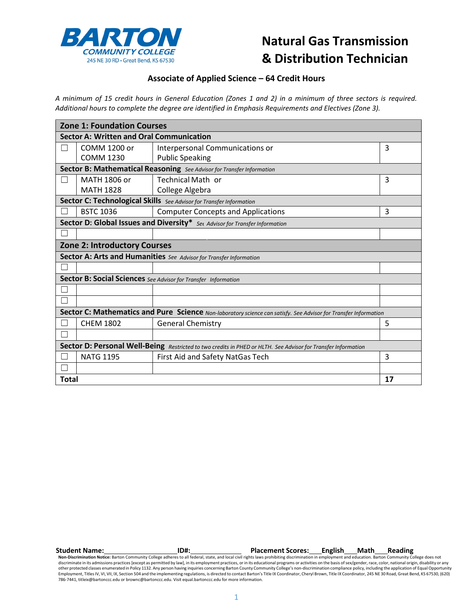

## **Natural Gas Transmission & Distribution Technician**

## **Associate of Applied Science – 64 Credit Hours**

A minimum of 15 credit hours in General Education (Zones 1 and 2) in a minimum of three sectors is required. *Additional hours to complete the degree are identified in Emphasis Requirements and Electives (Zone 3).*

| <b>Zone 1: Foundation Courses</b>                                                                               |                                                                       |                                                                    |    |  |  |  |
|-----------------------------------------------------------------------------------------------------------------|-----------------------------------------------------------------------|--------------------------------------------------------------------|----|--|--|--|
| <b>Sector A: Written and Oral Communication</b>                                                                 |                                                                       |                                                                    |    |  |  |  |
|                                                                                                                 | <b>COMM 1200 or</b>                                                   | Interpersonal Communications or                                    | 3  |  |  |  |
|                                                                                                                 | <b>COMM 1230</b>                                                      | <b>Public Speaking</b>                                             |    |  |  |  |
|                                                                                                                 | Sector B: Mathematical Reasoning See Advisor for Transfer Information |                                                                    |    |  |  |  |
|                                                                                                                 | MATH 1806 or                                                          | <b>Technical Math or</b>                                           | 3  |  |  |  |
|                                                                                                                 | <b>MATH 1828</b>                                                      | College Algebra                                                    |    |  |  |  |
| Sector C: Technological Skills See Advisor for Transfer Information                                             |                                                                       |                                                                    |    |  |  |  |
|                                                                                                                 | <b>BSTC 1036</b>                                                      | <b>Computer Concepts and Applications</b>                          | 3  |  |  |  |
| Sector D: Global Issues and Diversity* Set Advisor for Transfer Information                                     |                                                                       |                                                                    |    |  |  |  |
|                                                                                                                 |                                                                       |                                                                    |    |  |  |  |
| <b>Zone 2: Introductory Courses</b>                                                                             |                                                                       |                                                                    |    |  |  |  |
|                                                                                                                 |                                                                       | Sector A: Arts and Humanities See Advisor for Transfer Information |    |  |  |  |
|                                                                                                                 |                                                                       |                                                                    |    |  |  |  |
| Sector B: Social Sciences See Advisor for Transfer Information                                                  |                                                                       |                                                                    |    |  |  |  |
|                                                                                                                 |                                                                       |                                                                    |    |  |  |  |
|                                                                                                                 |                                                                       |                                                                    |    |  |  |  |
| Sector C: Mathematics and Pure Science Non-laboratory science can satisfy. See Advisor for Transfer Information |                                                                       |                                                                    |    |  |  |  |
|                                                                                                                 | <b>CHEM 1802</b>                                                      | <b>General Chemistry</b>                                           | 5  |  |  |  |
|                                                                                                                 |                                                                       |                                                                    |    |  |  |  |
| Sector D: Personal Well-Being Restricted to two credits in PHED or HLTH. See Advisor for Transfer Information   |                                                                       |                                                                    |    |  |  |  |
|                                                                                                                 | <b>NATG 1195</b>                                                      | First Aid and Safety NatGas Tech                                   | 3  |  |  |  |
|                                                                                                                 |                                                                       |                                                                    |    |  |  |  |
| <b>Total</b>                                                                                                    |                                                                       |                                                                    | 17 |  |  |  |

Student Name: Reading<br>Non-Discrimination Notice: Barton Community College adheres to all federal, state, and local civil rights laws prohibiting discrimination in employment and education. Barton Community College does not discriminate in its admissions practices [except as permitted by law], in its employment practices, or in its educational programs or activities on the basis of sex/gender, race, color, national origin, disability or any other protected classes enumerated in Policy 1132. Any person having inquiries concerning Barton County Community College's non-discrimination compliance policy, including the application of Equal Opportunity Employment, TitlesIV, VI, VII, IX, Section 504 and the implementing regulations, is directed to contact Barton's Title IX Coordinator, Cheryl Brown, Title IX Coordinator, 245 NE 30 Road, Great Bend, KS 67530, (620) 786-7441, [titleix@bartonccc.edu](mailto:titleix@bartonccc.edu) or [brownc@bartonccc.edu.](mailto:brownc@bartonccc.edu) Visit equal.bartonccc.edu for more information.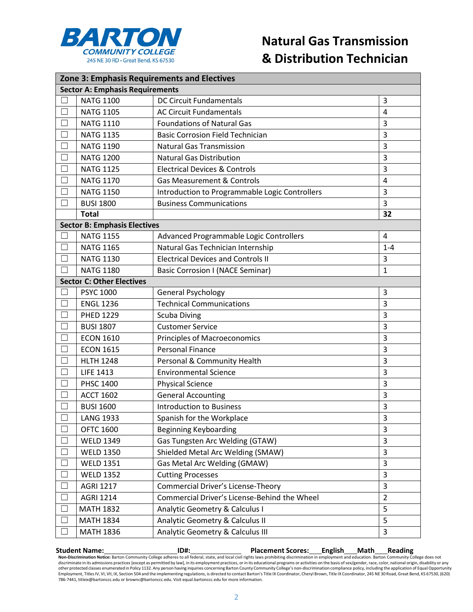

| Zone 3: Emphasis Requirements and Electives |                                     |                                                |                |  |  |  |
|---------------------------------------------|-------------------------------------|------------------------------------------------|----------------|--|--|--|
| <b>Sector A: Emphasis Requirements</b>      |                                     |                                                |                |  |  |  |
|                                             | <b>NATG 1100</b>                    | <b>DC Circuit Fundamentals</b>                 | 3              |  |  |  |
| $\Box$                                      | <b>NATG 1105</b>                    | <b>AC Circuit Fundamentals</b>                 | 4              |  |  |  |
| $\mathbf{L}$                                | <b>NATG 1110</b>                    | <b>Foundations of Natural Gas</b>              | 3              |  |  |  |
| $\Box$                                      | <b>NATG 1135</b>                    | <b>Basic Corrosion Field Technician</b>        | 3              |  |  |  |
|                                             | <b>NATG 1190</b>                    | <b>Natural Gas Transmission</b>                | 3              |  |  |  |
|                                             | <b>NATG 1200</b>                    | <b>Natural Gas Distribution</b>                | 3              |  |  |  |
|                                             | <b>NATG 1125</b>                    | <b>Electrical Devices &amp; Controls</b>       | 3              |  |  |  |
| $\Box$                                      | <b>NATG 1170</b>                    | <b>Gas Measurement &amp; Controls</b>          | 4              |  |  |  |
|                                             | <b>NATG 1150</b>                    | Introduction to Programmable Logic Controllers | 3              |  |  |  |
| ┐                                           | <b>BUSI 1800</b>                    | <b>Business Communications</b>                 | 3              |  |  |  |
|                                             | <b>Total</b>                        |                                                | 32             |  |  |  |
|                                             | <b>Sector B: Emphasis Electives</b> |                                                |                |  |  |  |
| ┐                                           | <b>NATG 1155</b>                    | Advanced Programmable Logic Controllers        | 4              |  |  |  |
|                                             | <b>NATG 1165</b>                    | Natural Gas Technician Internship              | $1 - 4$        |  |  |  |
|                                             | <b>NATG 1130</b>                    | <b>Electrical Devices and Controls II</b>      | 3              |  |  |  |
|                                             | <b>NATG 1180</b>                    | <b>Basic Corrosion I (NACE Seminar)</b>        | $\mathbf{1}$   |  |  |  |
|                                             | <b>Sector C: Other Electives</b>    |                                                |                |  |  |  |
|                                             | <b>PSYC 1000</b>                    | <b>General Psychology</b>                      | 3              |  |  |  |
|                                             | <b>ENGL 1236</b>                    | <b>Technical Communications</b>                | 3              |  |  |  |
|                                             | <b>PHED 1229</b>                    | <b>Scuba Diving</b>                            | 3              |  |  |  |
|                                             | <b>BUSI 1807</b>                    | <b>Customer Service</b>                        | 3              |  |  |  |
| $\Box$                                      | <b>ECON 1610</b>                    | <b>Principles of Macroeconomics</b>            | 3              |  |  |  |
|                                             | <b>ECON 1615</b>                    | <b>Personal Finance</b>                        | 3              |  |  |  |
|                                             | <b>HLTH 1248</b>                    | Personal & Community Health                    | 3              |  |  |  |
|                                             | <b>LIFE 1413</b>                    | <b>Environmental Science</b>                   | 3              |  |  |  |
|                                             | <b>PHSC 1400</b>                    | <b>Physical Science</b>                        | 3              |  |  |  |
|                                             | <b>ACCT 1602</b>                    | <b>General Accounting</b>                      | 3              |  |  |  |
|                                             | <b>BUSI 1600</b>                    | <b>Introduction to Business</b>                | 3              |  |  |  |
| □                                           | <b>LANG 1933</b>                    | Spanish for the Workplace                      | 3              |  |  |  |
| $\mathbf{L}$                                | <b>OFTC 1600</b>                    | <b>Beginning Keyboarding</b>                   | 3              |  |  |  |
| П                                           | <b>WELD 1349</b>                    | Gas Tungsten Arc Welding (GTAW)                | 3              |  |  |  |
|                                             | <b>WELD 1350</b>                    | Shielded Metal Arc Welding (SMAW)              | 3              |  |  |  |
| $\Box$                                      | <b>WELD 1351</b>                    | Gas Metal Arc Welding (GMAW)                   | 3              |  |  |  |
| $\Box$                                      | <b>WELD 1352</b>                    | <b>Cutting Processes</b>                       | 3              |  |  |  |
| $\Box$                                      | <b>AGRI 1217</b>                    | Commercial Driver's License-Theory             | 3              |  |  |  |
|                                             | <b>AGRI 1214</b>                    | Commercial Driver's License-Behind the Wheel   | $\overline{2}$ |  |  |  |
| $\Box$                                      | <b>MATH 1832</b>                    | Analytic Geometry & Calculus I                 | 5              |  |  |  |
|                                             | <b>MATH 1834</b>                    | Analytic Geometry & Calculus II                | 5              |  |  |  |
|                                             | <b>MATH 1836</b>                    | Analytic Geometry & Calculus III               | 3              |  |  |  |

Student Name: Reading<br>Non-Discrimination Notice: Barton Community College adheres to all federal, state, and local civil rights laws prohibiting discrimination in employment and education. Barton Community College does not discriminate in its admissions practices [except as permitted by law], in its employment practices, or in its educational programs or activities on the basis of sex/gender, race, color, national origin, disability or any other protected classes enumerated in Policy 1132. Any person having inquiries concerning Barton County Community College's non-discrimination compliance policy, including the application of Equal Opportunity<br>Employment, T 786-7441, [titleix@bartonccc.edu](mailto:titleix@bartonccc.edu) or [brownc@bartonccc.edu.](mailto:brownc@bartonccc.edu) Visit equal.bartonccc.edu for more information.